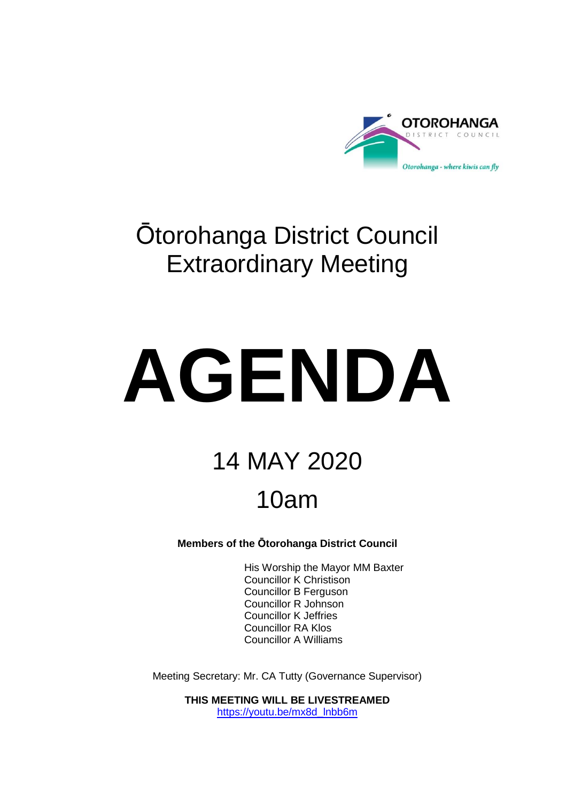

# Ōtorohanga District Council Extraordinary Meeting

# **AGENDA**

# 14 MAY 2020 10am

**Members of the Ōtorohanga District Council**

His Worship the Mayor MM Baxter Councillor K Christison Councillor B Ferguson Councillor R Johnson Councillor K Jeffries Councillor RA Klos Councillor A Williams

Meeting Secretary: Mr. CA Tutty (Governance Supervisor)

**THIS MEETING WILL BE LIVESTREAMED** [https://youtu.be/mx8d\\_lnbb6m](https://youtu.be/MX8D_lnbB6M)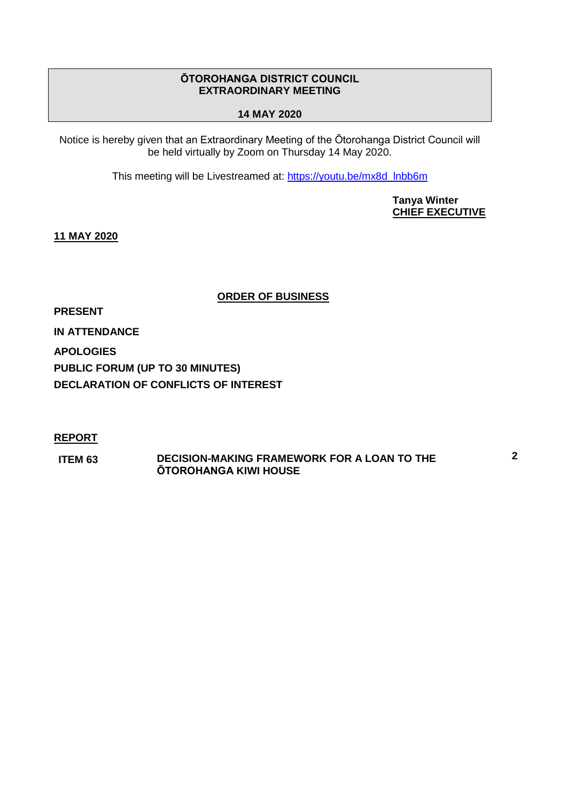# **ŌTOROHANGA DISTRICT COUNCIL EXTRAORDINARY MEETING**

# **14 MAY 2020**

Notice is hereby given that an Extraordinary Meeting of the Ōtorohanga District Council will be held virtually by Zoom on Thursday 14 May 2020.

This meeting will be Livestreamed at: [https://youtu.be/mx8d\\_lnbb6m](https://youtu.be/MX8D_lnbB6M)

**Tanya Winter CHIEF EXECUTIVE**

**11 MAY 2020**

**ORDER OF BUSINESS**

**PRESENT**

**IN ATTENDANCE**

**APOLOGIES**

**PUBLIC FORUM (UP TO 30 MINUTES)**

**DECLARATION OF CONFLICTS OF INTEREST**

# **REPORT**

**ITEM 63 DECISION-MAKING FRAMEWORK FOR A LOAN TO THE ŌTOROHANGA KIWI HOUSE**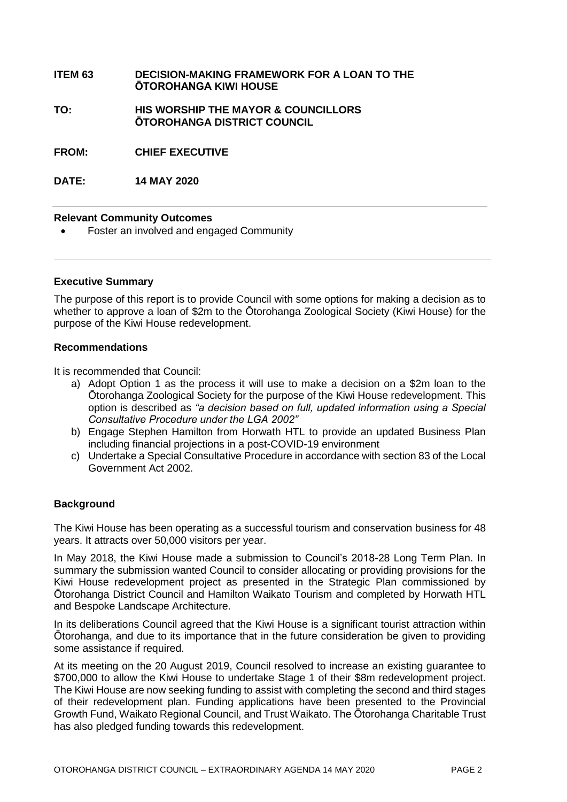#### **ITEM 63 DECISION-MAKING FRAMEWORK FOR A LOAN TO THE ŌTOROHANGA KIWI HOUSE**

**TO: HIS WORSHIP THE MAYOR & COUNCILLORS ŌTOROHANGA DISTRICT COUNCIL**

**FROM: CHIEF EXECUTIVE**

**DATE: 14 MAY 2020**

#### **Relevant Community Outcomes**

Foster an involved and engaged Community

#### **Executive Summary**

The purpose of this report is to provide Council with some options for making a decision as to whether to approve a loan of \$2m to the Ōtorohanga Zoological Society (Kiwi House) for the purpose of the Kiwi House redevelopment.

#### **Recommendations**

It is recommended that Council:

- a) Adopt Option 1 as the process it will use to make a decision on a \$2m loan to the Ōtorohanga Zoological Society for the purpose of the Kiwi House redevelopment. This option is described as *"a decision based on full, updated information using a Special Consultative Procedure under the LGA 2002"*
- b) Engage Stephen Hamilton from Horwath HTL to provide an updated Business Plan including financial projections in a post-COVID-19 environment
- c) Undertake a Special Consultative Procedure in accordance with section 83 of the Local Government Act 2002.

# **Background**

The Kiwi House has been operating as a successful tourism and conservation business for 48 years. It attracts over 50,000 visitors per year.

In May 2018, the Kiwi House made a submission to Council's 2018-28 Long Term Plan. In summary the submission wanted Council to consider allocating or providing provisions for the Kiwi House redevelopment project as presented in the Strategic Plan commissioned by Ōtorohanga District Council and Hamilton Waikato Tourism and completed by Horwath HTL and Bespoke Landscape Architecture.

In its deliberations Council agreed that the Kiwi House is a significant tourist attraction within Ōtorohanga, and due to its importance that in the future consideration be given to providing some assistance if required.

At its meeting on the 20 August 2019, Council resolved to increase an existing guarantee to \$700,000 to allow the Kiwi House to undertake Stage 1 of their \$8m redevelopment project. The Kiwi House are now seeking funding to assist with completing the second and third stages of their redevelopment plan. Funding applications have been presented to the Provincial Growth Fund, Waikato Regional Council, and Trust Waikato. The Ōtorohanga Charitable Trust has also pledged funding towards this redevelopment.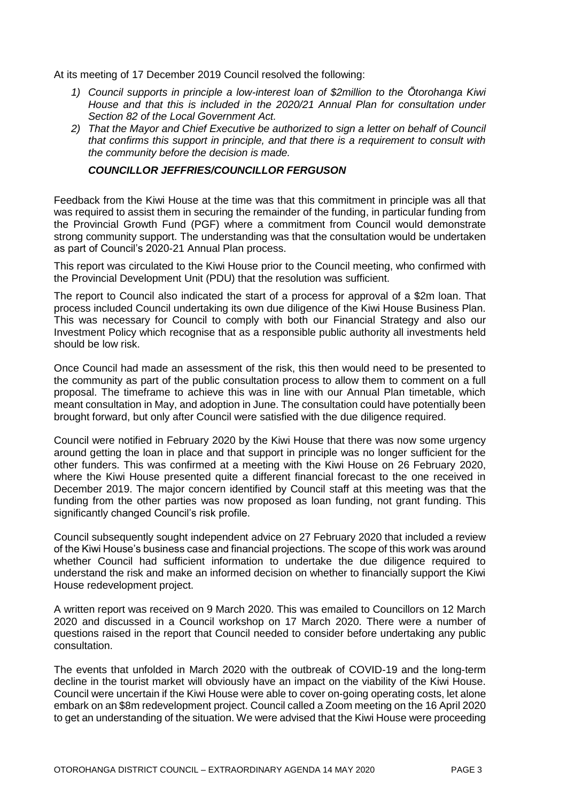At its meeting of 17 December 2019 Council resolved the following:

- *1) Council supports in principle a low-interest loan of \$2million to the Ōtorohanga Kiwi House and that this is included in the 2020/21 Annual Plan for consultation under Section 82 of the Local Government Act.*
- *2) That the Mayor and Chief Executive be authorized to sign a letter on behalf of Council that confirms this support in principle, and that there is a requirement to consult with the community before the decision is made.*

#### *COUNCILLOR JEFFRIES/COUNCILLOR FERGUSON*

Feedback from the Kiwi House at the time was that this commitment in principle was all that was required to assist them in securing the remainder of the funding, in particular funding from the Provincial Growth Fund (PGF) where a commitment from Council would demonstrate strong community support. The understanding was that the consultation would be undertaken as part of Council's 2020-21 Annual Plan process.

This report was circulated to the Kiwi House prior to the Council meeting, who confirmed with the Provincial Development Unit (PDU) that the resolution was sufficient.

The report to Council also indicated the start of a process for approval of a \$2m loan. That process included Council undertaking its own due diligence of the Kiwi House Business Plan. This was necessary for Council to comply with both our Financial Strategy and also our Investment Policy which recognise that as a responsible public authority all investments held should be low risk.

Once Council had made an assessment of the risk, this then would need to be presented to the community as part of the public consultation process to allow them to comment on a full proposal. The timeframe to achieve this was in line with our Annual Plan timetable, which meant consultation in May, and adoption in June. The consultation could have potentially been brought forward, but only after Council were satisfied with the due diligence required.

Council were notified in February 2020 by the Kiwi House that there was now some urgency around getting the loan in place and that support in principle was no longer sufficient for the other funders. This was confirmed at a meeting with the Kiwi House on 26 February 2020, where the Kiwi House presented quite a different financial forecast to the one received in December 2019. The major concern identified by Council staff at this meeting was that the funding from the other parties was now proposed as loan funding, not grant funding. This significantly changed Council's risk profile.

Council subsequently sought independent advice on 27 February 2020 that included a review of the Kiwi House's business case and financial projections. The scope of this work was around whether Council had sufficient information to undertake the due diligence required to understand the risk and make an informed decision on whether to financially support the Kiwi House redevelopment project.

A written report was received on 9 March 2020. This was emailed to Councillors on 12 March 2020 and discussed in a Council workshop on 17 March 2020. There were a number of questions raised in the report that Council needed to consider before undertaking any public consultation.

The events that unfolded in March 2020 with the outbreak of COVID-19 and the long-term decline in the tourist market will obviously have an impact on the viability of the Kiwi House. Council were uncertain if the Kiwi House were able to cover on-going operating costs, let alone embark on an \$8m redevelopment project. Council called a Zoom meeting on the 16 April 2020 to get an understanding of the situation. We were advised that the Kiwi House were proceeding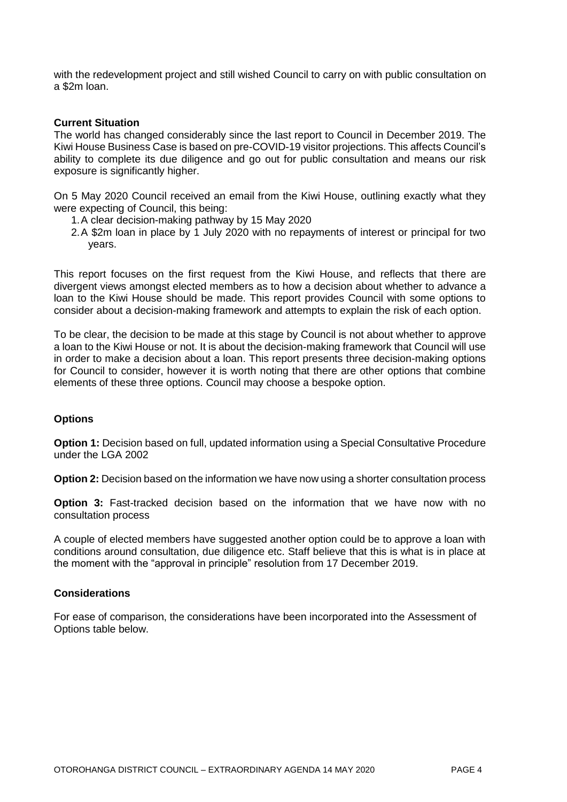with the redevelopment project and still wished Council to carry on with public consultation on a \$2m loan.

#### **Current Situation**

The world has changed considerably since the last report to Council in December 2019. The Kiwi House Business Case is based on pre-COVID-19 visitor projections. This affects Council's ability to complete its due diligence and go out for public consultation and means our risk exposure is significantly higher.

On 5 May 2020 Council received an email from the Kiwi House, outlining exactly what they were expecting of Council, this being:

- 1.A clear decision-making pathway by 15 May 2020
- 2.A \$2m loan in place by 1 July 2020 with no repayments of interest or principal for two years.

This report focuses on the first request from the Kiwi House, and reflects that there are divergent views amongst elected members as to how a decision about whether to advance a loan to the Kiwi House should be made. This report provides Council with some options to consider about a decision-making framework and attempts to explain the risk of each option.

To be clear, the decision to be made at this stage by Council is not about whether to approve a loan to the Kiwi House or not. It is about the decision-making framework that Council will use in order to make a decision about a loan. This report presents three decision-making options for Council to consider, however it is worth noting that there are other options that combine elements of these three options. Council may choose a bespoke option.

#### **Options**

**Option 1:** Decision based on full, updated information using a Special Consultative Procedure under the LGA 2002

**Option 2:** Decision based on the information we have now using a shorter consultation process

**Option 3:** Fast-tracked decision based on the information that we have now with no consultation process

A couple of elected members have suggested another option could be to approve a loan with conditions around consultation, due diligence etc. Staff believe that this is what is in place at the moment with the "approval in principle" resolution from 17 December 2019.

#### **Considerations**

For ease of comparison, the considerations have been incorporated into the Assessment of Options table below.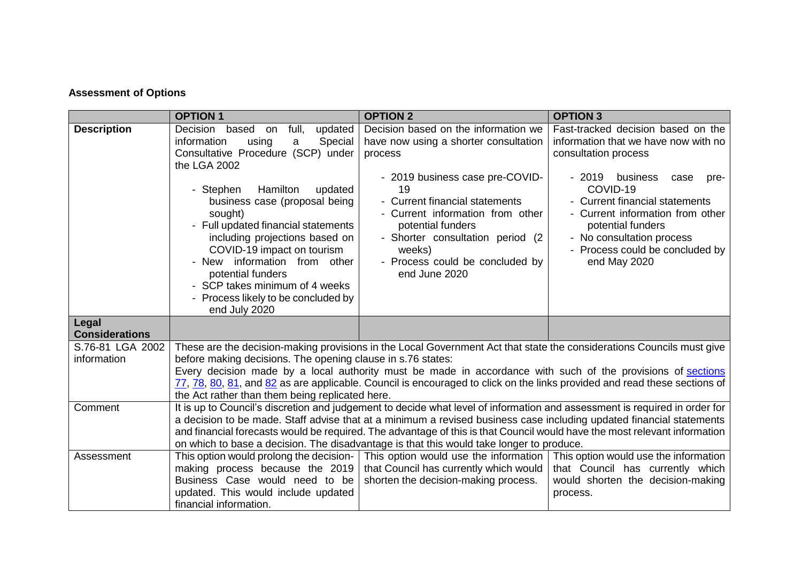# **Assessment of Options**

|                                 | <b>OPTION1</b>                                                                                                                                                                                                                                                                                                                                                                                                                                                            | <b>OPTION 2</b>                                                                                                                                                                                                                                                                                                                                                                                                                                                             | <b>OPTION 3</b>                                                                                                                                                                                                                                                                                                                  |  |  |  |
|---------------------------------|---------------------------------------------------------------------------------------------------------------------------------------------------------------------------------------------------------------------------------------------------------------------------------------------------------------------------------------------------------------------------------------------------------------------------------------------------------------------------|-----------------------------------------------------------------------------------------------------------------------------------------------------------------------------------------------------------------------------------------------------------------------------------------------------------------------------------------------------------------------------------------------------------------------------------------------------------------------------|----------------------------------------------------------------------------------------------------------------------------------------------------------------------------------------------------------------------------------------------------------------------------------------------------------------------------------|--|--|--|
| <b>Description</b>              | updated<br>Decision based on<br>full,<br>information<br>Special<br>using<br>a<br>Consultative Procedure (SCP) under<br>the LGA 2002<br>Hamilton<br>- Stephen<br>updated<br>business case (proposal being<br>sought)<br>- Full updated financial statements<br>including projections based on<br>COVID-19 impact on tourism<br>- New information from other<br>potential funders<br>- SCP takes minimum of 4 weeks<br>- Process likely to be concluded by<br>end July 2020 | Decision based on the information we<br>have now using a shorter consultation<br>process<br>- 2019 business case pre-COVID-<br>19<br>- Current financial statements<br>- Current information from other<br>potential funders<br>- Shorter consultation period (2)<br>weeks)<br>- Process could be concluded by<br>end June 2020                                                                                                                                             | Fast-tracked decision based on the<br>information that we have now with no<br>consultation process<br>$-2019$<br>business<br>case<br>pre-<br>COVID-19<br>- Current financial statements<br>- Current information from other<br>potential funders<br>- No consultation process<br>- Process could be concluded by<br>end May 2020 |  |  |  |
| Legal<br><b>Considerations</b>  |                                                                                                                                                                                                                                                                                                                                                                                                                                                                           |                                                                                                                                                                                                                                                                                                                                                                                                                                                                             |                                                                                                                                                                                                                                                                                                                                  |  |  |  |
| S.76-81 LGA 2002<br>information | before making decisions. The opening clause in s.76 states:<br>the Act rather than them being replicated here.                                                                                                                                                                                                                                                                                                                                                            | These are the decision-making provisions in the Local Government Act that state the considerations Councils must give<br>Every decision made by a local authority must be made in accordance with such of the provisions of sections<br>77, 78, 80, 81, and 82 as are applicable. Council is encouraged to click on the links provided and read these sections of                                                                                                           |                                                                                                                                                                                                                                                                                                                                  |  |  |  |
| Comment                         |                                                                                                                                                                                                                                                                                                                                                                                                                                                                           | It is up to Council's discretion and judgement to decide what level of information and assessment is required in order for<br>a decision to be made. Staff advise that at a minimum a revised business case including updated financial statements<br>and financial forecasts would be required. The advantage of this is that Council would have the most relevant information<br>on which to base a decision. The disadvantage is that this would take longer to produce. |                                                                                                                                                                                                                                                                                                                                  |  |  |  |
| Assessment                      | making process because the 2019<br>Business Case would need to be<br>updated. This would include updated<br>financial information.                                                                                                                                                                                                                                                                                                                                        | This option would prolong the decision- This option would use the information<br>that Council has currently which would<br>shorten the decision-making process.                                                                                                                                                                                                                                                                                                             | This option would use the information<br>that Council has currently which<br>would shorten the decision-making<br>process.                                                                                                                                                                                                       |  |  |  |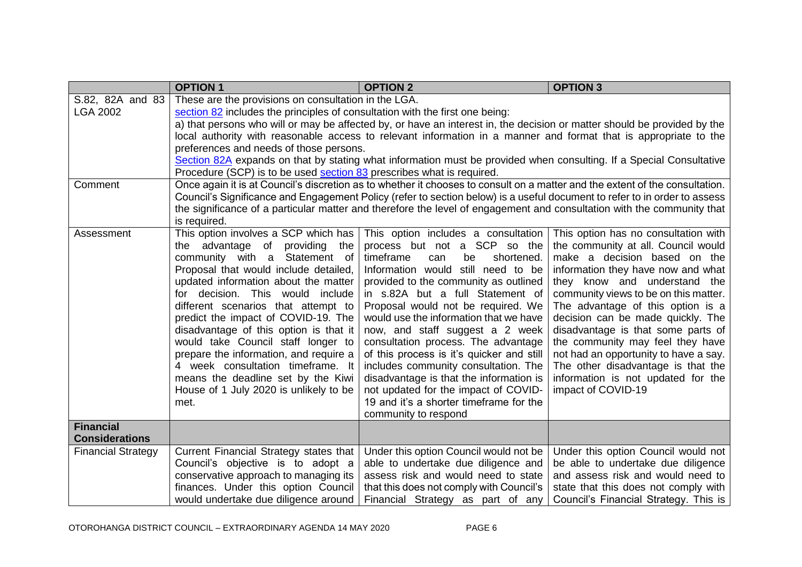|                           | <b>OPTION 1</b>                                                                                                          | <b>OPTION 2</b>                                                                                                              | <b>OPTION 3</b>                                                            |  |  |  |  |
|---------------------------|--------------------------------------------------------------------------------------------------------------------------|------------------------------------------------------------------------------------------------------------------------------|----------------------------------------------------------------------------|--|--|--|--|
| S.82, 82A and 83          | These are the provisions on consultation in the LGA.                                                                     |                                                                                                                              |                                                                            |  |  |  |  |
| <b>LGA 2002</b>           | section 82 includes the principles of consultation with the first one being:                                             |                                                                                                                              |                                                                            |  |  |  |  |
|                           | a) that persons who will or may be affected by, or have an interest in, the decision or matter should be provided by the |                                                                                                                              |                                                                            |  |  |  |  |
|                           |                                                                                                                          | local authority with reasonable access to relevant information in a manner and format that is appropriate to the             |                                                                            |  |  |  |  |
|                           | preferences and needs of those persons.                                                                                  |                                                                                                                              |                                                                            |  |  |  |  |
|                           |                                                                                                                          | Section 82A expands on that by stating what information must be provided when consulting. If a Special Consultative          |                                                                            |  |  |  |  |
|                           | Procedure (SCP) is to be used section 83 prescribes what is required.                                                    |                                                                                                                              |                                                                            |  |  |  |  |
| Comment                   |                                                                                                                          | Once again it is at Council's discretion as to whether it chooses to consult on a matter and the extent of the consultation. |                                                                            |  |  |  |  |
|                           |                                                                                                                          | Council's Significance and Engagement Policy (refer to section below) is a useful document to refer to in order to assess    |                                                                            |  |  |  |  |
|                           |                                                                                                                          | the significance of a particular matter and therefore the level of engagement and consultation with the community that       |                                                                            |  |  |  |  |
|                           | is required.                                                                                                             |                                                                                                                              |                                                                            |  |  |  |  |
| Assessment                | This option involves a SCP which has                                                                                     | This option includes a consultation                                                                                          | This option has no consultation with                                       |  |  |  |  |
|                           | the advantage of providing the                                                                                           | process but not a SCP so the                                                                                                 | the community at all. Council would                                        |  |  |  |  |
|                           | community with a Statement of                                                                                            | timeframe<br>be<br>shortened.<br>can                                                                                         | make a decision based on the                                               |  |  |  |  |
|                           | Proposal that would include detailed,                                                                                    | Information would still need to be                                                                                           | information they have now and what                                         |  |  |  |  |
|                           | updated information about the matter<br>for decision. This would include                                                 | provided to the community as outlined<br>in s.82A but a full Statement of                                                    | they know and understand the                                               |  |  |  |  |
|                           | different scenarios that attempt to                                                                                      | Proposal would not be required. We                                                                                           | community views to be on this matter.<br>The advantage of this option is a |  |  |  |  |
|                           | predict the impact of COVID-19. The                                                                                      | would use the information that we have                                                                                       | decision can be made quickly. The                                          |  |  |  |  |
|                           | disadvantage of this option is that it                                                                                   | now, and staff suggest a 2 week                                                                                              | disadvantage is that some parts of                                         |  |  |  |  |
|                           | would take Council staff longer to                                                                                       | consultation process. The advantage                                                                                          | the community may feel they have                                           |  |  |  |  |
|                           | prepare the information, and require a                                                                                   | of this process is it's quicker and still                                                                                    | not had an opportunity to have a say.                                      |  |  |  |  |
|                           | 4 week consultation timeframe. It                                                                                        | includes community consultation. The                                                                                         | The other disadvantage is that the                                         |  |  |  |  |
|                           | means the deadline set by the Kiwi                                                                                       | disadvantage is that the information is                                                                                      | information is not updated for the                                         |  |  |  |  |
|                           | House of 1 July 2020 is unlikely to be                                                                                   | not updated for the impact of COVID-                                                                                         | impact of COVID-19                                                         |  |  |  |  |
|                           | met.                                                                                                                     | 19 and it's a shorter timeframe for the                                                                                      |                                                                            |  |  |  |  |
|                           |                                                                                                                          | community to respond                                                                                                         |                                                                            |  |  |  |  |
| <b>Financial</b>          |                                                                                                                          |                                                                                                                              |                                                                            |  |  |  |  |
| <b>Considerations</b>     |                                                                                                                          |                                                                                                                              |                                                                            |  |  |  |  |
| <b>Financial Strategy</b> | Current Financial Strategy states that                                                                                   | Under this option Council would not be                                                                                       | Under this option Council would not                                        |  |  |  |  |
|                           | Council's objective is to adopt a                                                                                        | able to undertake due diligence and                                                                                          | be able to undertake due diligence                                         |  |  |  |  |
|                           | conservative approach to managing its                                                                                    | assess risk and would need to state                                                                                          | and assess risk and would need to                                          |  |  |  |  |
|                           | finances. Under this option Council                                                                                      | that this does not comply with Council's                                                                                     | state that this does not comply with                                       |  |  |  |  |
|                           | would undertake due diligence around                                                                                     | Financial Strategy as part of any                                                                                            | Council's Financial Strategy. This is                                      |  |  |  |  |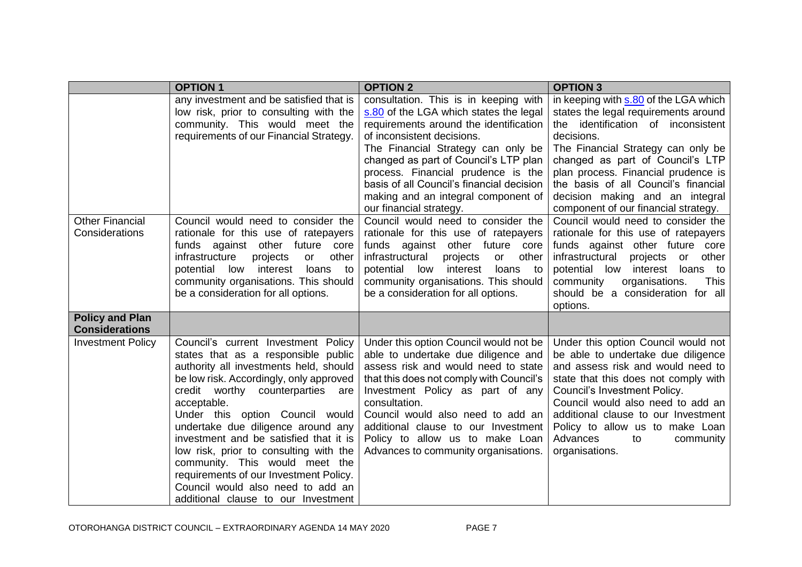|                                                 | <b>OPTION 1</b>                                                                                                                                                                                                                                                                                                                                                                                                                                                                                                                         | <b>OPTION 2</b>                                                                                                                                                                                                                                                                                                                                                                             | <b>OPTION 3</b>                                                                                                                                                                                                                                                                                                                                                       |
|-------------------------------------------------|-----------------------------------------------------------------------------------------------------------------------------------------------------------------------------------------------------------------------------------------------------------------------------------------------------------------------------------------------------------------------------------------------------------------------------------------------------------------------------------------------------------------------------------------|---------------------------------------------------------------------------------------------------------------------------------------------------------------------------------------------------------------------------------------------------------------------------------------------------------------------------------------------------------------------------------------------|-----------------------------------------------------------------------------------------------------------------------------------------------------------------------------------------------------------------------------------------------------------------------------------------------------------------------------------------------------------------------|
|                                                 | any investment and be satisfied that is<br>low risk, prior to consulting with the<br>community. This would meet the<br>requirements of our Financial Strategy.                                                                                                                                                                                                                                                                                                                                                                          | consultation. This is in keeping with<br>s.80 of the LGA which states the legal<br>requirements around the identification<br>of inconsistent decisions.<br>The Financial Strategy can only be<br>changed as part of Council's LTP plan<br>process. Financial prudence is the<br>basis of all Council's financial decision<br>making and an integral component of<br>our financial strategy. | in keeping with s.80 of the LGA which<br>states the legal requirements around<br>the identification of inconsistent<br>decisions.<br>The Financial Strategy can only be<br>changed as part of Council's LTP<br>plan process. Financial prudence is<br>the basis of all Council's financial<br>decision making and an integral<br>component of our financial strategy. |
| <b>Other Financial</b><br>Considerations        | Council would need to consider the<br>rationale for this use of ratepayers<br>funds against other future core<br>infrastructure<br>projects<br>other<br>or<br>low interest<br>potential<br>loans<br>to<br>community organisations. This should<br>be a consideration for all options.                                                                                                                                                                                                                                                   | Council would need to consider the<br>rationale for this use of ratepayers<br>funds against other future core<br>infrastructural<br>other<br>projects<br>or<br>potential<br>low interest<br>loans to<br>community organisations. This should<br>be a consideration for all options.                                                                                                         | Council would need to consider the<br>rationale for this use of ratepayers<br>funds against other future core<br>infrastructural<br>projects<br>other<br>or<br>potential low interest loans to<br>community<br>organisations.<br><b>This</b><br>should be a consideration for all<br>options.                                                                         |
| <b>Policy and Plan</b><br><b>Considerations</b> |                                                                                                                                                                                                                                                                                                                                                                                                                                                                                                                                         |                                                                                                                                                                                                                                                                                                                                                                                             |                                                                                                                                                                                                                                                                                                                                                                       |
| <b>Investment Policy</b>                        | Council's current Investment Policy<br>states that as a responsible public<br>authority all investments held, should<br>be low risk. Accordingly, only approved<br>credit worthy counterparties are<br>acceptable.<br>Under this option Council would<br>undertake due diligence around any<br>investment and be satisfied that it is<br>low risk, prior to consulting with the<br>community. This would meet the<br>requirements of our Investment Policy.<br>Council would also need to add an<br>additional clause to our Investment | Under this option Council would not be<br>able to undertake due diligence and<br>assess risk and would need to state<br>that this does not comply with Council's<br>Investment Policy as part of any<br>consultation.<br>Council would also need to add an<br>additional clause to our Investment<br>Policy to allow us to make Loan<br>Advances to community organisations.                | Under this option Council would not<br>be able to undertake due diligence<br>and assess risk and would need to<br>state that this does not comply with<br>Council's Investment Policy.<br>Council would also need to add an<br>additional clause to our Investment<br>Policy to allow us to make Loan<br>Advances<br>to<br>community<br>organisations.                |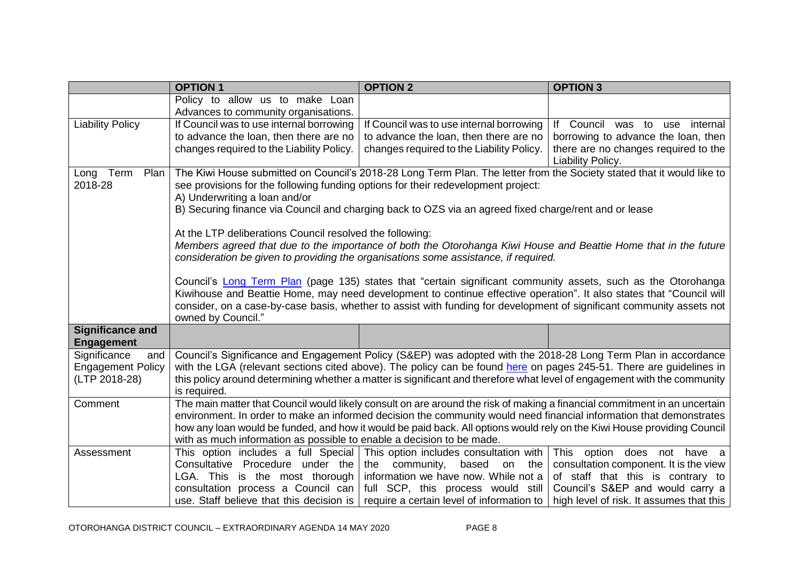|                          | <b>OPTION 1</b>                                                                                                         | <b>OPTION 2</b>                                                                                                           | <b>OPTION 3</b>                          |  |  |  |  |  |
|--------------------------|-------------------------------------------------------------------------------------------------------------------------|---------------------------------------------------------------------------------------------------------------------------|------------------------------------------|--|--|--|--|--|
|                          | Policy to allow us to make Loan                                                                                         |                                                                                                                           |                                          |  |  |  |  |  |
|                          | Advances to community organisations.                                                                                    |                                                                                                                           |                                          |  |  |  |  |  |
| <b>Liability Policy</b>  | If Council was to use internal borrowing                                                                                | If Council was to use internal borrowing                                                                                  | If Council was to use<br>internal        |  |  |  |  |  |
|                          | to advance the loan, then there are no                                                                                  | to advance the loan, then there are no                                                                                    | borrowing to advance the loan, then      |  |  |  |  |  |
|                          | changes required to the Liability Policy.                                                                               | changes required to the Liability Policy.                                                                                 | there are no changes required to the     |  |  |  |  |  |
|                          |                                                                                                                         |                                                                                                                           | Liability Policy.                        |  |  |  |  |  |
| Term<br>Plan<br>Long     |                                                                                                                         | The Kiwi House submitted on Council's 2018-28 Long Term Plan. The letter from the Society stated that it would like to    |                                          |  |  |  |  |  |
| 2018-28                  | see provisions for the following funding options for their redevelopment project:                                       |                                                                                                                           |                                          |  |  |  |  |  |
|                          | A) Underwriting a loan and/or                                                                                           |                                                                                                                           |                                          |  |  |  |  |  |
|                          |                                                                                                                         | B) Securing finance via Council and charging back to OZS via an agreed fixed charge/rent and or lease                     |                                          |  |  |  |  |  |
|                          |                                                                                                                         |                                                                                                                           |                                          |  |  |  |  |  |
|                          | At the LTP deliberations Council resolved the following:                                                                |                                                                                                                           |                                          |  |  |  |  |  |
|                          |                                                                                                                         | Members agreed that due to the importance of both the Otorohanga Kiwi House and Beattie Home that in the future           |                                          |  |  |  |  |  |
|                          |                                                                                                                         | consideration be given to providing the organisations some assistance, if required.                                       |                                          |  |  |  |  |  |
|                          |                                                                                                                         | Council's Long Term Plan (page 135) states that "certain significant community assets, such as the Otorohanga             |                                          |  |  |  |  |  |
|                          |                                                                                                                         | Kiwihouse and Beattie Home, may need development to continue effective operation". It also states that "Council will      |                                          |  |  |  |  |  |
|                          |                                                                                                                         | consider, on a case-by-case basis, whether to assist with funding for development of significant community assets not     |                                          |  |  |  |  |  |
|                          | owned by Council."                                                                                                      |                                                                                                                           |                                          |  |  |  |  |  |
| <b>Significance and</b>  |                                                                                                                         |                                                                                                                           |                                          |  |  |  |  |  |
| <b>Engagement</b>        |                                                                                                                         |                                                                                                                           |                                          |  |  |  |  |  |
| Significance<br>and      |                                                                                                                         | Council's Significance and Engagement Policy (S&EP) was adopted with the 2018-28 Long Term Plan in accordance             |                                          |  |  |  |  |  |
| <b>Engagement Policy</b> |                                                                                                                         | with the LGA (relevant sections cited above). The policy can be found here on pages 245-51. There are guidelines in       |                                          |  |  |  |  |  |
| (LTP 2018-28)            |                                                                                                                         | this policy around determining whether a matter is significant and therefore what level of engagement with the community  |                                          |  |  |  |  |  |
|                          | is required.                                                                                                            |                                                                                                                           |                                          |  |  |  |  |  |
| Comment                  |                                                                                                                         | The main matter that Council would likely consult on are around the risk of making a financial commitment in an uncertain |                                          |  |  |  |  |  |
|                          | environment. In order to make an informed decision the community would need financial information that demonstrates     |                                                                                                                           |                                          |  |  |  |  |  |
|                          | how any loan would be funded, and how it would be paid back. All options would rely on the Kiwi House providing Council |                                                                                                                           |                                          |  |  |  |  |  |
|                          | with as much information as possible to enable a decision to be made.                                                   |                                                                                                                           |                                          |  |  |  |  |  |
| Assessment               |                                                                                                                         | This option includes a full Special This option includes consultation with                                                | This option does not have a              |  |  |  |  |  |
|                          | Consultative Procedure under the the                                                                                    | community,<br>based<br>on<br>the                                                                                          | consultation component. It is the view   |  |  |  |  |  |
|                          |                                                                                                                         | LGA. This is the most thorough information we have now. While not a                                                       | of staff that this is contrary to        |  |  |  |  |  |
|                          |                                                                                                                         | consultation process a Council can $\vert$ full SCP, this process would still                                             | Council's S&EP and would carry a         |  |  |  |  |  |
|                          |                                                                                                                         | use. Staff believe that this decision is $\vert$ require a certain level of information to                                | high level of risk. It assumes that this |  |  |  |  |  |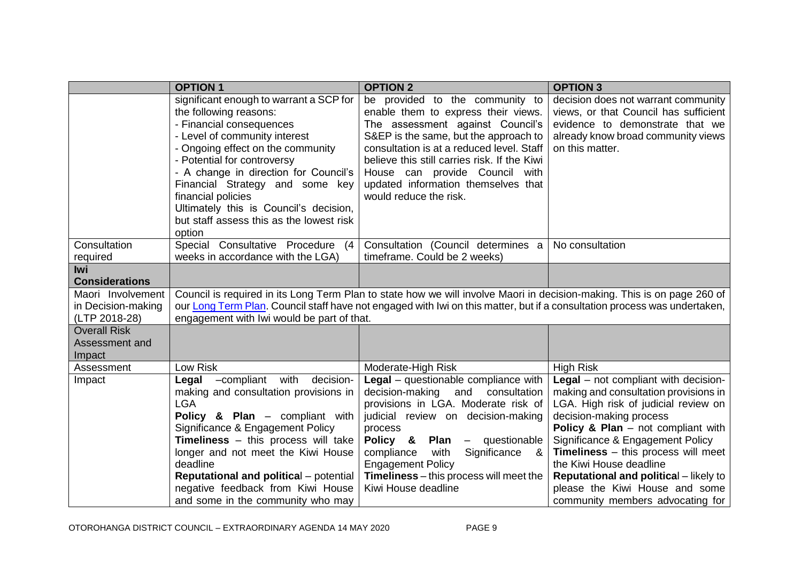| <b>OPTION 1</b>                                                                                                                                                                                                                                                                                                                                                                                      | <b>OPTION 2</b>                                                                                                                                                                                                                                                                                                                                     | <b>OPTION 3</b>                                                                                                                                                                                                                                                                                                                                                                                                                  |
|------------------------------------------------------------------------------------------------------------------------------------------------------------------------------------------------------------------------------------------------------------------------------------------------------------------------------------------------------------------------------------------------------|-----------------------------------------------------------------------------------------------------------------------------------------------------------------------------------------------------------------------------------------------------------------------------------------------------------------------------------------------------|----------------------------------------------------------------------------------------------------------------------------------------------------------------------------------------------------------------------------------------------------------------------------------------------------------------------------------------------------------------------------------------------------------------------------------|
| significant enough to warrant a SCP for<br>the following reasons:<br>- Financial consequences<br>- Level of community interest<br>- Ongoing effect on the community<br>- Potential for controversy<br>- A change in direction for Council's<br>Financial Strategy and some key<br>financial policies<br>Ultimately this is Council's decision,<br>but staff assess this as the lowest risk<br>option | be provided to the community to<br>enable them to express their views.<br>The assessment against Council's<br>S&EP is the same, but the approach to<br>consultation is at a reduced level. Staff<br>believe this still carries risk. If the Kiwi<br>House can provide Council with<br>updated information themselves that<br>would reduce the risk. | decision does not warrant community<br>views, or that Council has sufficient<br>evidence to demonstrate that we<br>already know broad community views<br>on this matter.                                                                                                                                                                                                                                                         |
| Special Consultative Procedure (4                                                                                                                                                                                                                                                                                                                                                                    | Consultation (Council determines a                                                                                                                                                                                                                                                                                                                  | No consultation                                                                                                                                                                                                                                                                                                                                                                                                                  |
|                                                                                                                                                                                                                                                                                                                                                                                                      |                                                                                                                                                                                                                                                                                                                                                     |                                                                                                                                                                                                                                                                                                                                                                                                                                  |
|                                                                                                                                                                                                                                                                                                                                                                                                      |                                                                                                                                                                                                                                                                                                                                                     |                                                                                                                                                                                                                                                                                                                                                                                                                                  |
|                                                                                                                                                                                                                                                                                                                                                                                                      |                                                                                                                                                                                                                                                                                                                                                     |                                                                                                                                                                                                                                                                                                                                                                                                                                  |
|                                                                                                                                                                                                                                                                                                                                                                                                      |                                                                                                                                                                                                                                                                                                                                                     |                                                                                                                                                                                                                                                                                                                                                                                                                                  |
| Low Risk                                                                                                                                                                                                                                                                                                                                                                                             |                                                                                                                                                                                                                                                                                                                                                     | <b>High Risk</b>                                                                                                                                                                                                                                                                                                                                                                                                                 |
| making and consultation provisions in<br><b>LGA</b><br>Policy & Plan - compliant with<br>Significance & Engagement Policy<br><b>Timeliness</b> - this process will take<br>longer and not meet the Kiwi House<br>deadline<br><b>Reputational and political</b> – potential<br>negative feedback from Kiwi House                                                                                      | decision-making and consultation<br>provisions in LGA. Moderate risk of<br>judicial review on decision-making<br>process<br>Policy &<br>Plan –<br>questionable<br>with<br>Significance<br>compliance<br>- &<br><b>Engagement Policy</b><br><b>Timeliness</b> – this process will meet the<br>Kiwi House deadline                                    | Legal - not compliant with decision-<br>making and consultation provisions in<br>LGA. High risk of judicial review on<br>decision-making process<br><b>Policy &amp; Plan</b> $-$ not compliant with<br>Significance & Engagement Policy<br>Timeliness - this process will meet<br>the Kiwi House deadline<br><b>Reputational and political</b> – likely to<br>please the Kiwi House and some<br>community members advocating for |
|                                                                                                                                                                                                                                                                                                                                                                                                      | weeks in accordance with the LGA)<br>-compliant<br>with<br>decision-<br>Legal<br>and some in the community who may                                                                                                                                                                                                                                  | timeframe. Could be 2 weeks)<br>Council is required in its Long Term Plan to state how we will involve Maori in decision-making. This is on page 260 of<br>our Long Term Plan. Council staff have not engaged with Iwi on this matter, but if a consultation process was undertaken,<br>engagement with Iwi would be part of that.<br>Moderate-High Risk<br>Legal - questionable compliance with                                 |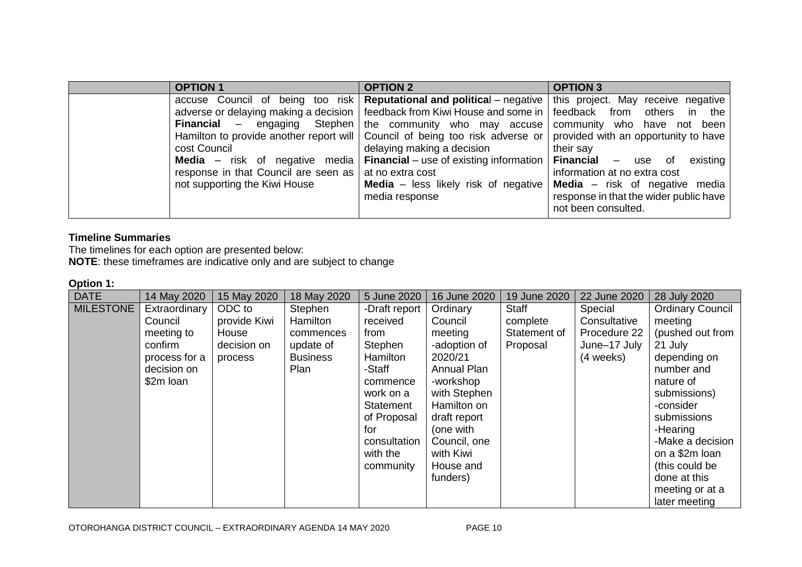| <b>OPTION 1</b>                                                                                          | <b>OPTION 2</b>                                                                                                                                                                                                                                                                                                                                                                                                                                                                                       | <b>OPTION 3</b>                                                                                                                                                                                                                                                                                                                              |
|----------------------------------------------------------------------------------------------------------|-------------------------------------------------------------------------------------------------------------------------------------------------------------------------------------------------------------------------------------------------------------------------------------------------------------------------------------------------------------------------------------------------------------------------------------------------------------------------------------------------------|----------------------------------------------------------------------------------------------------------------------------------------------------------------------------------------------------------------------------------------------------------------------------------------------------------------------------------------------|
| cost Council<br>response in that Council are seen as   at no extra cost<br>not supporting the Kiwi House | accuse Council of being too risk Reputational and political – negative<br>adverse or delaying making a decision   feedback from Kiwi House and some in<br><b>Financial</b> $-$ engaging Stephen the community who may accuse<br>Hamilton to provide another report will Council of being too risk adverse or<br>delaying making a decision<br><b>Media</b> – risk of negative media <b>Financial</b> – use of existing information<br><b>Media</b> $-$ less likely risk of negative<br>media response | this project. May receive negative<br>feedback from others<br>in the<br>community who have<br>not been<br>provided with an opportunity to have<br>their say<br>Financial –<br>existing<br>use of<br>information at no extra cost<br><b>Media</b> $-$ risk of negative media<br>response in that the wider public have<br>not been consulted. |

# **Timeline Summaries**

The timelines for each option are presented below: **NOTE**: these timeframes are indicative only and are subject to change

#### **Option 1:**

| <b>DATE</b> | 14 May 2020   | 15 May 2020  | 18 May 2020     | 5 June 2020   | 16 June 2020       | 19 June 2020 | 22 June 2020 | 28 July 2020            |
|-------------|---------------|--------------|-----------------|---------------|--------------------|--------------|--------------|-------------------------|
| MILESTONE   | Extraordinary | ODC to       | Stephen         | -Draft report | Ordinary           | Staff        | Special      | <b>Ordinary Council</b> |
|             | Council       | provide Kiwi | Hamilton        | received      | Council            | complete     | Consultative | meeting                 |
|             | meeting to    | House        | commences       | from          | meeting            | Statement of | Procedure 22 | (pushed out from        |
|             | confirm       | decision on  | update of       | Stephen       | -adoption of       | Proposal     | June-17 July | 21 July                 |
|             | process for a | process      | <b>Business</b> | Hamilton      | 2020/21            |              | (4 weeks)    | depending on            |
|             | decision on   |              | Plan            | -Staff        | <b>Annual Plan</b> |              |              | number and              |
|             | \$2m loan     |              |                 | commence      | -workshop          |              |              | nature of               |
|             |               |              |                 | work on a     | with Stephen       |              |              | submissions)            |
|             |               |              |                 | Statement     | Hamilton on        |              |              | -consider               |
|             |               |              |                 | of Proposal   | draft report       |              |              | submissions             |
|             |               |              |                 | for           | (one with          |              |              | -Hearing                |
|             |               |              |                 | consultation  | Council, one       |              |              | -Make a decision        |
|             |               |              |                 | with the      | with Kiwi          |              |              | on a \$2m loan          |
|             |               |              |                 | community     | House and          |              |              | (this could be          |
|             |               |              |                 |               | funders)           |              |              | done at this            |
|             |               |              |                 |               |                    |              |              | meeting or at a         |
|             |               |              |                 |               |                    |              |              | later meeting           |